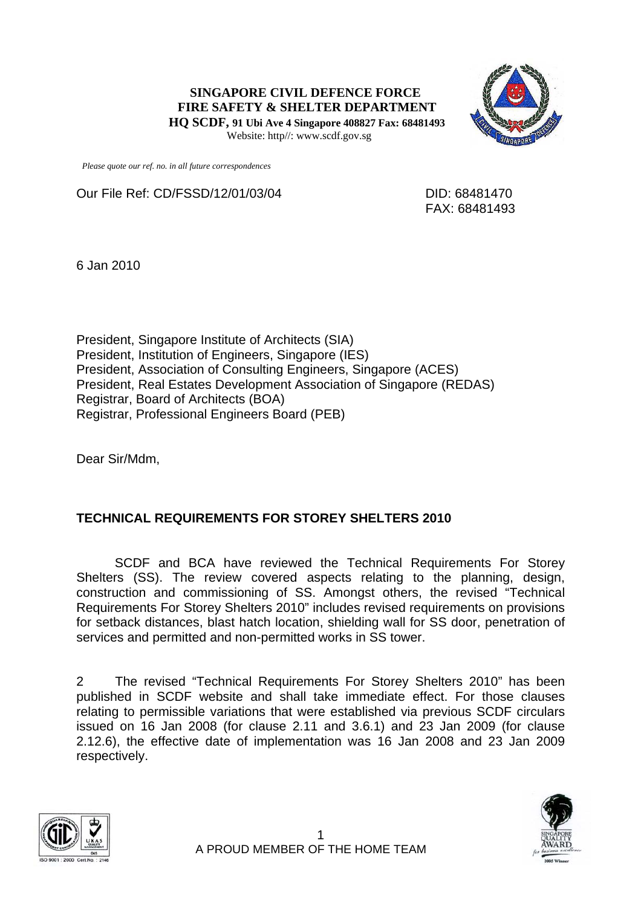**SINGAPORE CIVIL DEFENCE FORCE FIRE SAFETY & SHELTER DEPARTMENT HQ SCDF, 91 Ubi Ave 4 Singapore 408827 Fax: 68481493**  Website: http//: www.scdf.gov.sg



 *Please quote our ref. no. in all future correspondences*

Our File Ref: CD/FSSD/12/01/03/04 DID: 68481470

FAX: 68481493

6 Jan 2010

President, Singapore Institute of Architects (SIA) President, Institution of Engineers, Singapore (IES) President, Association of Consulting Engineers, Singapore (ACES) President, Real Estates Development Association of Singapore (REDAS) Registrar, Board of Architects (BOA) Registrar, Professional Engineers Board (PEB)

Dear Sir/Mdm,

## **TECHNICAL REQUIREMENTS FOR STOREY SHELTERS 2010**

SCDF and BCA have reviewed the Technical Requirements For Storey Shelters (SS). The review covered aspects relating to the planning, design, construction and commissioning of SS. Amongst others, the revised "Technical Requirements For Storey Shelters 2010" includes revised requirements on provisions for setback distances, blast hatch location, shielding wall for SS door, penetration of services and permitted and non-permitted works in SS tower.

2 The revised "Technical Requirements For Storey Shelters 2010" has been published in SCDF website and shall take immediate effect. For those clauses relating to permissible variations that were established via previous SCDF circulars issued on 16 Jan 2008 (for clause 2.11 and 3.6.1) and 23 Jan 2009 (for clause 2.12.6), the effective date of implementation was 16 Jan 2008 and 23 Jan 2009 respectively.